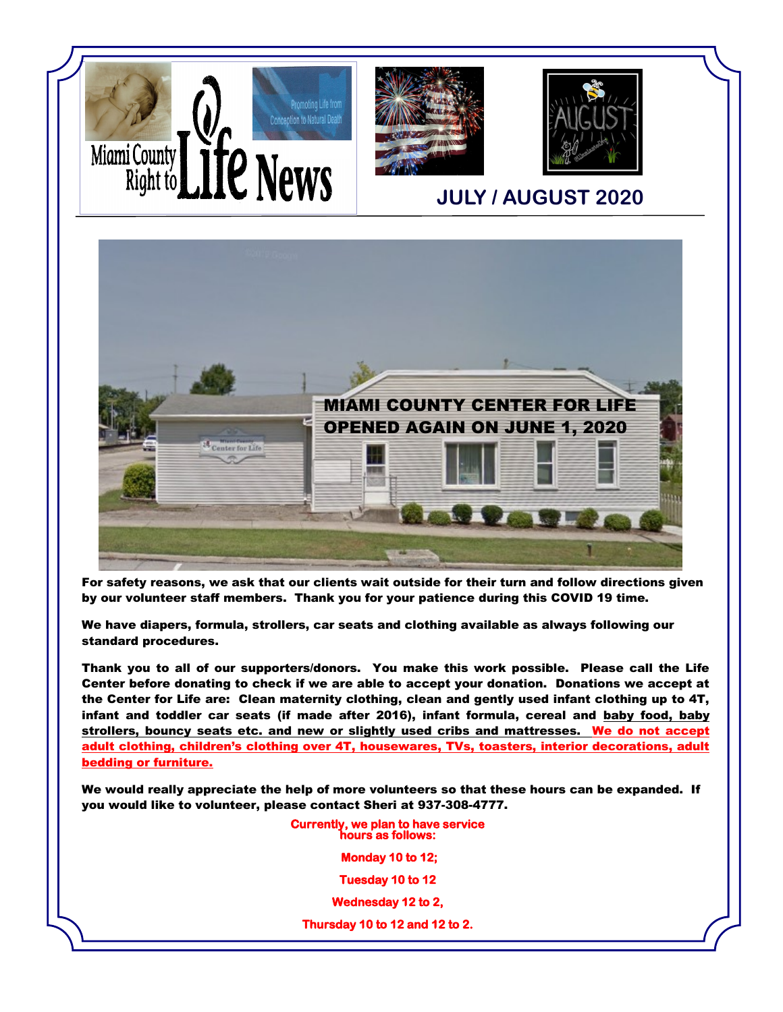



For safety reasons, we ask that our clients wait outside for their turn and follow directions given by our volunteer staff members. Thank you for your patience during this COVID 19 time.

We have diapers, formula, strollers, car seats and clothing available as always following our standard procedures.

Thank you to all of our supporters/donors. You make this work possible. Please call the Life Center before donating to check if we are able to accept your donation. Donations we accept at the Center for Life are: Clean maternity clothing, clean and gently used infant clothing up to 4T, infant and toddler car seats (if made after 2016), infant formula, cereal and baby food, baby strollers, bouncy seats etc. and new or slightly used cribs and mattresses. We do not accept adult clothing, children's clothing over 4T, housewares, TVs, toasters, interior decorations, adult bedding or furniture.

We would really appreciate the help of more volunteers so that these hours can be expanded. If you would like to volunteer, please contact Sheri at 937-308-4777.

> **Currently, we plan to have service hours as follows:**

> > **Monday 10 to 12;**

**Tuesday 10 to 12** 

**Wednesday 12 to 2,** 

**Thursday 10 to 12 and 12 to 2.**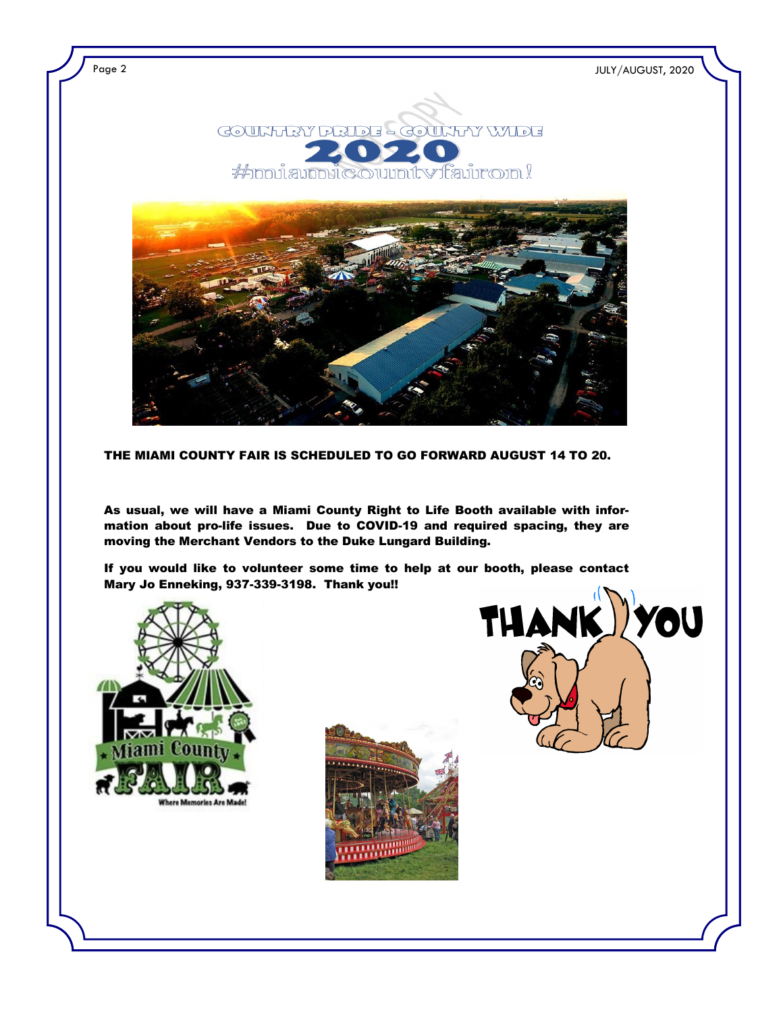

Page 2 JULY/AUGUST, 2020





THE MIAMI COUNTY FAIR IS SCHEDULED TO GO FORWARD AUGUST 14 TO 20.

As usual, we will have a Miami County Right to Life Booth available with information about pro-life issues. Due to COVID-19 and required spacing, they are moving the Merchant Vendors to the Duke Lungard Building.

If you would like to volunteer some time to help at our booth, please contact Mary Jo Enneking, 937-339-3198. Thank you!!